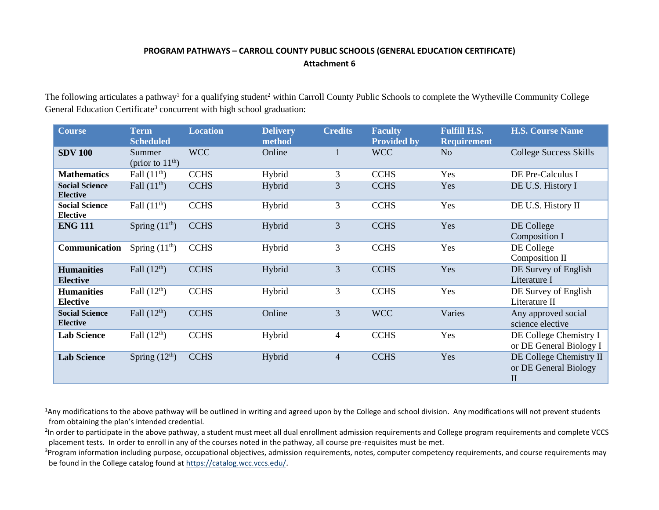## **PROGRAM PATHWAYS – CARROLL COUNTY PUBLIC SCHOOLS (GENERAL EDUCATION CERTIFICATE) Attachment 6**

The following articulates a pathway<sup>1</sup> for a qualifying student<sup>2</sup> within Carroll County Public Schools to complete the Wytheville Community College General Education Certificate<sup>3</sup> concurrent with high school graduation:

| <b>Course</b>                            | <b>Term</b><br><b>Scheduled</b> | <b>Location</b> | <b>Delivery</b><br>method | <b>Credits</b> | <b>Faculty</b><br><b>Provided by</b> | <b>Fulfill H.S.</b><br><b>Requirement</b> | <b>H.S. Course Name</b>                                          |
|------------------------------------------|---------------------------------|-----------------|---------------------------|----------------|--------------------------------------|-------------------------------------------|------------------------------------------------------------------|
| <b>SDV 100</b>                           | Summer<br>(prior to $11th$ )    | <b>WCC</b>      | Online                    | $\mathbf{1}$   | <b>WCC</b>                           | N <sub>o</sub>                            | <b>College Success Skills</b>                                    |
| <b>Mathematics</b>                       | Fall $(11th)$                   | <b>CCHS</b>     | Hybrid                    | 3              | <b>CCHS</b>                          | Yes                                       | DE Pre-Calculus I                                                |
| <b>Social Science</b><br><b>Elective</b> | Fall $(11^{\text{th}})$         | <b>CCHS</b>     | Hybrid                    | 3              | <b>CCHS</b>                          | Yes                                       | DE U.S. History I                                                |
| <b>Social Science</b><br><b>Elective</b> | Fall $(11^{\text{th}})$         | <b>CCHS</b>     | Hybrid                    | 3              | <b>CCHS</b>                          | Yes                                       | DE U.S. History II                                               |
| <b>ENG 111</b>                           | Spring $(11th)$                 | <b>CCHS</b>     | Hybrid                    | 3              | <b>CCHS</b>                          | Yes                                       | DE College<br>Composition I                                      |
| Communication                            | Spring $(11th)$                 | <b>CCHS</b>     | Hybrid                    | 3              | <b>CCHS</b>                          | Yes                                       | DE College<br>Composition II                                     |
| <b>Humanities</b><br><b>Elective</b>     | Fall $(12th)$                   | <b>CCHS</b>     | Hybrid                    | 3              | <b>CCHS</b>                          | Yes                                       | DE Survey of English<br>Literature I                             |
| <b>Humanities</b><br><b>Elective</b>     | Fall $(12th)$                   | <b>CCHS</b>     | Hybrid                    | 3              | <b>CCHS</b>                          | Yes                                       | DE Survey of English<br>Literature II                            |
| <b>Social Science</b><br><b>Elective</b> | Fall $(12th)$                   | <b>CCHS</b>     | Online                    | 3              | <b>WCC</b>                           | Varies                                    | Any approved social<br>science elective                          |
| <b>Lab Science</b>                       | Fall $(12th)$                   | <b>CCHS</b>     | Hybrid                    | $\overline{4}$ | <b>CCHS</b>                          | Yes                                       | DE College Chemistry I<br>or DE General Biology I                |
| <b>Lab Science</b>                       | Spring $(12th)$                 | <b>CCHS</b>     | Hybrid                    | $\overline{4}$ | <b>CCHS</b>                          | Yes                                       | DE College Chemistry II<br>or DE General Biology<br>$\mathbf{I}$ |

<sup>1</sup>Any modifications to the above pathway will be outlined in writing and agreed upon by the College and school division. Any modifications will not prevent students from obtaining the plan's intended credential.

<sup>2</sup>In order to participate in the above pathway, a student must meet all dual enrollment admission requirements and College program requirements and complete VCCS placement tests. In order to enroll in any of the courses noted in the pathway, all course pre-requisites must be met.

<sup>3</sup>Program information including purpose, occupational objectives, admission requirements, notes, computer competency requirements, and course requirements may be found in the College catalog found a[t https://catalog.wcc.vccs.edu/](https://catalog.wcc.vccs.edu/).